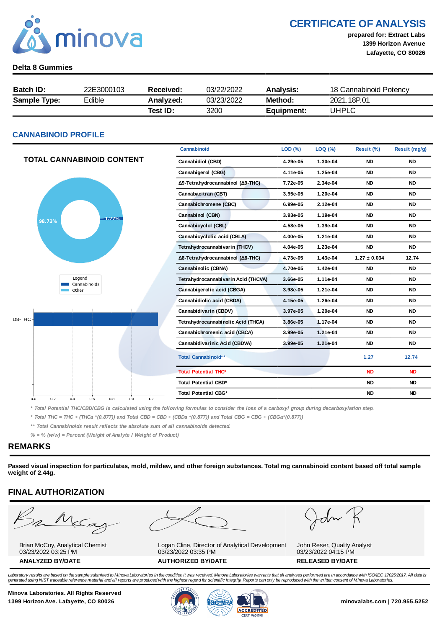

### CERTIFICATE OF ANALYSIS

prepared for: Extract Labs 1399 Horizon Avenue Lafayette, CO 80026

### Delta 8 Gummies

| Batch ID:           | 22E3000103 | Received: | 03/22/2022 | <b>Analysis:</b> | 18 Cannabinoid Potency |
|---------------------|------------|-----------|------------|------------------|------------------------|
| <b>Sample Type:</b> | Edible     | Analyzed: | 03/23/2022 | Method:          | 2021 18P 01            |
|                     |            | Test ID:  | 3200       | Equipment:       | UHPLC                  |

### CANNABINOID PROFILE

|                                               | Cannabinoid                         | LOD (%)  | LOQ (%)  | Result (%)       | Result (mg/g) |
|-----------------------------------------------|-------------------------------------|----------|----------|------------------|---------------|
| <b>TOTAL CANNABINOID CONTENT</b>              | Cannabidiol (CBD)                   | 4.29e-05 | 1.30e-04 | <b>ND</b>        | <b>ND</b>     |
|                                               | Cannabigerol (CBG)                  | 4.11e-05 | 1.25e-04 | <b>ND</b>        | <b>ND</b>     |
|                                               | Δ9-Tetrahydrocannabinol (Δ9-THC)    | 7.72e-05 | 2.34e-04 | <b>ND</b>        | <b>ND</b>     |
|                                               | Cannabacitran (CBT)                 | 3.95e-05 | 1.20e-04 | <b>ND</b>        | <b>ND</b>     |
|                                               | Cannabichromene (CBC)               | 6.99e-05 | 2.12e-04 | <b>ND</b>        | <b>ND</b>     |
| $-1.27%$                                      | Cannabinol (CBN)                    | 3.93e-05 | 1.19e-04 | <b>ND</b>        | <b>ND</b>     |
| 98.73%                                        | Cannabicyclol (CBL)                 | 4.58e-05 | 1.39e-04 | <b>ND</b>        | <b>ND</b>     |
|                                               | Cannabicyclolic acid (CBLA)         | 4.00e-05 | 1.21e-04 | <b>ND</b>        | <b>ND</b>     |
|                                               | Tetrahydrocannabivarin (THCV)       | 4.04e-05 | 1.23e-04 | <b>ND</b>        | <b>ND</b>     |
|                                               | Δ8-Tetrahydrocannabinol (Δ8-THC)    | 4.73e-05 | 1.43e-04 | $1.27 \pm 0.034$ | 12.74         |
|                                               | Cannabinolic (CBNA)                 | 4.70e-05 | 1.42e-04 | <b>ND</b>        | <b>ND</b>     |
| Legend<br>Cannabinoids                        | Tetrahydrocannabivarin Acid (THCVA) | 3.66e-05 | 1.11e-04 | <b>ND</b>        | <b>ND</b>     |
| Other                                         | Cannabigerolic acid (CBGA)          | 3.98e-05 | 1.21e-04 | <b>ND</b>        | <b>ND</b>     |
|                                               | Cannabidiolic acid (CBDA)           | 4.15e-05 | 1.26e-04 | <b>ND</b>        | <b>ND</b>     |
|                                               | Cannabidivarin (CBDV)               | 3.97e-05 | 1.20e-04 | <b>ND</b>        | <b>ND</b>     |
| D8-THC-                                       | Tetrahydrocannabinolic Acid (THCA)  | 3.86e-05 | 1.17e-04 | <b>ND</b>        | <b>ND</b>     |
|                                               | Cannabichromenic acid (CBCA)        | 3.99e-05 | 1.21e-04 | <b>ND</b>        | <b>ND</b>     |
|                                               | Cannabidivarinic Acid (CBDVA)       | 3.99e-05 | 1.21e-04 | <b>ND</b>        | <b>ND</b>     |
|                                               | Total Cannabinoid**                 |          |          | 1.27             | 12.74         |
|                                               | <b>Total Potential THC*</b>         |          |          | <b>ND</b>        | <b>ND</b>     |
|                                               | Total Potential CBD*                |          |          | <b>ND</b>        | <b>ND</b>     |
| 0.2<br>1.0<br>1.2<br>0.0<br>0.4<br>0.6<br>0.8 | Total Potential CBG*                |          |          | <b>ND</b>        | <b>ND</b>     |

\* Total Potential THC/CBD/CBG is calculated using the following formulas to consider the loss of a carboxyl group during decarboxylation step.

\* Total THC = THC + (THCa \*(0.877)) and Total CBD = CBD + (CBDa \*(0.877)) and Total CBG = CBG + (CBGa\*(0.877))

\*\* Total Cannabinoids result reflects the absolute sum of all cannabinoids detected.

 $% =$  % (w/w) = Percent (Weight of Analyte / Weight of Product)

### REMARKS

Passed visual inspection for particulates, mold, mildew, and other foreign substances. Total mg cannabinoid content based off total sample weight of 2.44g.

### FINAL AUTHORIZATION

Brian McCoy, Analytical Chemist 03/23/2022 03:25 PM

03/23/2022 03:35 PM

dn

Logan Cline, Director of Analytical Development ANALYZED BY/DATE AUTHORIZED BY/DATE AUTHORIZED BY/DATE

John Reser, Quality Analyst 03/23/2022 04:15 PM

Laboratory results are based on the sample submitted to Minova Laboratories in the condition it was received. Minova Laboratories warrants that all analyses performed are in accordance with ISO/IEC 17025:2017. All data is<br>

Minova Laboratories. All Rights Reserved 1399 Horizon Ave. Lafayette, CO 80026 **1300 Minovalabs.com | 720.955.5252** minovalabs.com | 720.955.5252





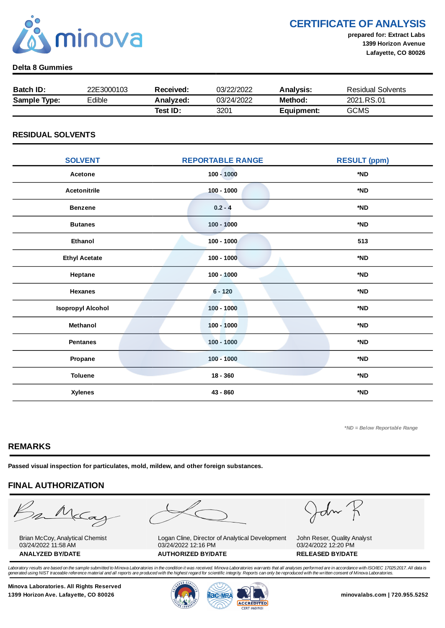

CERTIFICATE OF ANALYSIS

prepared for: Extract Labs 1399 Horizon Avenue Lafayette, CO 80026

### Delta 8 Gummies

| <b>Batch ID:</b>    | 22E3000103 | Received: | 03/22/2022 | Analysis:  | Residual Solvents |
|---------------------|------------|-----------|------------|------------|-------------------|
| <b>Sample Type:</b> | Edible     | Analyzed: | 03/24/2022 | Method:    | 2021.RS.01        |
|                     |            | Test ID:  | 3201       | Equipment: | <b>GCMS</b>       |

### RESIDUAL SOLVENTS

| <b>SOLVENT</b>           | <b>REPORTABLE RANGE</b> | <b>RESULT (ppm)</b> |
|--------------------------|-------------------------|---------------------|
| Acetone                  | $100 - 1000$            | *ND                 |
| <b>Acetonitrile</b>      | $100 - 1000$            | *ND                 |
| <b>Benzene</b>           | $0.2 - 4$               | *ND                 |
| <b>Butanes</b>           | $100 - 1000$            | *ND                 |
| <b>Ethanol</b>           | $100 - 1000$            | 513                 |
| <b>Ethyl Acetate</b>     | $100 - 1000$            | *ND                 |
| Heptane                  | $100 - 1000$            | *ND                 |
| <b>Hexanes</b>           | $6 - 120$               | *ND                 |
| <b>Isopropyl Alcohol</b> | $100 - 1000$            | *ND                 |
| Methanol                 | $100 - 1000$            | *ND                 |
| <b>Pentanes</b>          | $100 - 1000$            | *ND                 |
| Propane                  | $100 - 1000$            | *ND                 |
| <b>Toluene</b>           | $18 - 360$              | *ND                 |
| <b>Xylenes</b>           | 43 - 860                | *ND                 |

\*ND = Below Reportable Range

### REMARKS

Passed visual inspection for particulates, mold, mildew, and other foreign substances.

## FINAL AUTHORIZATION

mMcCa

Brian McCoy, Analytical Chemist 03/24/2022 11:58 AM

Logan Cline, Director of Analytical Development 03/24/2022 12:16 PM ANALYZED BY/DATE AUTHORIZED BY/DATE AUTHORIZED BY/DATE

John

John Reser, Quality Analyst 03/24/2022 12:20 PM

Laboratory results are based on the sample submitted to Minova Laboratories in the condition it was received. Minova Laboratories warrants that all analyses performed are in accordance with ISO/IEC 17025:2017. All data is generated using NIST traceable reference material and all reports are produced with the highest regard for scientific integrity. Reports can only be reproduced with the written consent of Minova Laboratories.

Minova Laboratories. All Rights Reserved 1399 Horizon Ave. Lafayette, CO 80026 **1300 Minovalabs.com | 720.955.5252** minovalabs.com | 720.955.5252